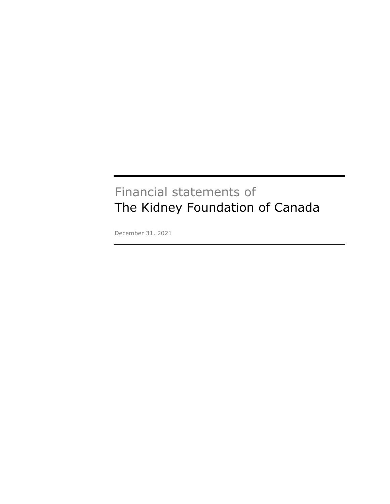# Financial statements of The Kidney Foundation of Canada

December 31, 2021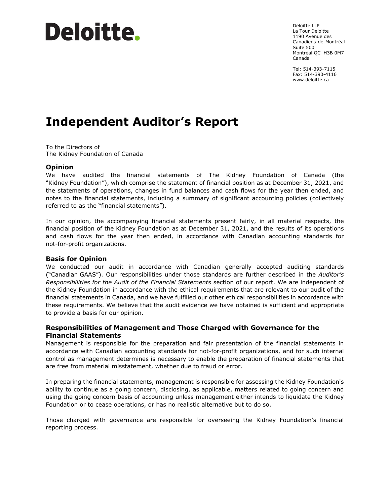# Deloitte.

Deloitte LLP La Tour Deloitte 1190 Avenue des Canadiens-de-Montréal Suite 500 Montréal QC H3B 0M7 Canada

Tel: 514-393-7115 Fax: 514-390-4116 www.deloitte.ca

# **Independent Auditor's Report**

To the Directors of The Kidney Foundation of Canada

# **Opinion**

We have audited the financial statements of The Kidney Foundation of Canada (the "Kidney Foundation"), which comprise the statement of financial position as at December 31, 2021, and the statements of operations, changes in fund balances and cash flows for the year then ended, and notes to the financial statements, including a summary of significant accounting policies (collectively referred to as the "financial statements").

In our opinion, the accompanying financial statements present fairly, in all material respects, the financial position of the Kidney Foundation as at December 31, 2021, and the results of its operations and cash flows for the year then ended, in accordance with Canadian accounting standards for not-for-profit organizations.

#### **Basis for Opinion**

We conducted our audit in accordance with Canadian generally accepted auditing standards ("Canadian GAAS"). Our responsibilities under those standards are further described in the *Auditor's Responsibilities for the Audit of the Financial Statements* section of our report. We are independent of the Kidney Foundation in accordance with the ethical requirements that are relevant to our audit of the financial statements in Canada, and we have fulfilled our other ethical responsibilities in accordance with these requirements. We believe that the audit evidence we have obtained is sufficient and appropriate to provide a basis for our opinion.

# **Responsibilities of Management and Those Charged with Governance for the Financial Statements**

Management is responsible for the preparation and fair presentation of the financial statements in accordance with Canadian accounting standards for not-for-profit organizations, and for such internal control as management determines is necessary to enable the preparation of financial statements that are free from material misstatement, whether due to fraud or error.

In preparing the financial statements, management is responsible for assessing the Kidney Foundation's ability to continue as a going concern, disclosing, as applicable, matters related to going concern and using the going concern basis of accounting unless management either intends to liquidate the Kidney Foundation or to cease operations, or has no realistic alternative but to do so.

Those charged with governance are responsible for overseeing the Kidney Foundation's financial reporting process.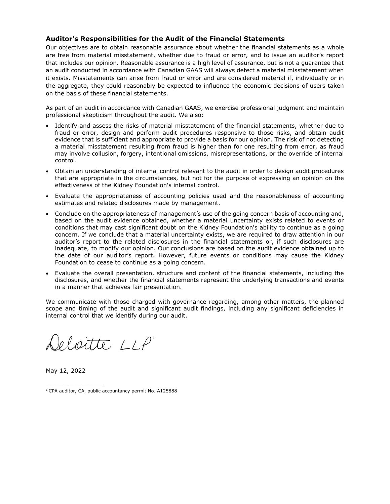# **Auditor's Responsibilities for the Audit of the Financial Statements**

Our objectives are to obtain reasonable assurance about whether the financial statements as a whole are free from material misstatement, whether due to fraud or error, and to issue an auditor's report that includes our opinion. Reasonable assurance is a high level of assurance, but is not a guarantee that an audit conducted in accordance with Canadian GAAS will always detect a material misstatement when it exists. Misstatements can arise from fraud or error and are considered material if, individually or in the aggregate, they could reasonably be expected to influence the economic decisions of users taken on the basis of these financial statements.

As part of an audit in accordance with Canadian GAAS, we exercise professional judgment and maintain professional skepticism throughout the audit. We also:

- Identify and assess the risks of material misstatement of the financial statements, whether due to fraud or error, design and perform audit procedures responsive to those risks, and obtain audit evidence that is sufficient and appropriate to provide a basis for our opinion. The risk of not detecting a material misstatement resulting from fraud is higher than for one resulting from error, as fraud may involve collusion, forgery, intentional omissions, misrepresentations, or the override of internal control.
- Obtain an understanding of internal control relevant to the audit in order to design audit procedures that are appropriate in the circumstances, but not for the purpose of expressing an opinion on the effectiveness of the Kidney Foundation's internal control.
- Evaluate the appropriateness of accounting policies used and the reasonableness of accounting estimates and related disclosures made by management.
- Conclude on the appropriateness of management's use of the going concern basis of accounting and, based on the audit evidence obtained, whether a material uncertainty exists related to events or conditions that may cast significant doubt on the Kidney Foundation's ability to continue as a going concern. If we conclude that a material uncertainty exists, we are required to draw attention in our auditor's report to the related disclosures in the financial statements or, if such disclosures are inadequate, to modify our opinion. Our conclusions are based on the audit evidence obtained up to the date of our auditor's report. However, future events or conditions may cause the Kidney Foundation to cease to continue as a going concern.
- Evaluate the overall presentation, structure and content of the financial statements, including the disclosures, and whether the financial statements represent the underlying transactions and events in a manner that achieves fair presentation.

We communicate with those charged with governance regarding, among other matters, the planned scope and timing of the audit and significant audit findings, including any significant deficiencies in internal control that we identify during our audit.

Deloitte LLP'

May 12, 2022

 $\mathcal{L}_\text{max}$  and  $\mathcal{L}_\text{max}$  and  $\mathcal{L}_\text{max}$ 

<sup>&</sup>lt;sup>1</sup> CPA auditor, CA, public accountancy permit No. A125888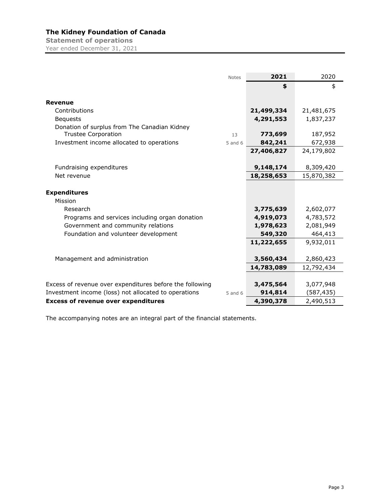**Statement of operations**  Year ended December 31, 2021

|                                                          | <b>Notes</b> | 2021       | 2020       |
|----------------------------------------------------------|--------------|------------|------------|
|                                                          |              | \$         | \$         |
| <b>Revenue</b>                                           |              |            |            |
|                                                          |              |            |            |
| Contributions                                            |              | 21,499,334 | 21,481,675 |
| <b>Bequests</b>                                          |              | 4,291,553  | 1,837,237  |
| Donation of surplus from The Canadian Kidney             |              |            |            |
| <b>Trustee Corporation</b>                               | 13           | 773,699    | 187,952    |
| Investment income allocated to operations                | $5$ and $6$  | 842,241    | 672,938    |
|                                                          |              | 27,406,827 | 24,179,802 |
|                                                          |              |            |            |
| Fundraising expenditures                                 |              | 9,148,174  | 8,309,420  |
| Net revenue                                              |              | 18,258,653 | 15,870,382 |
|                                                          |              |            |            |
| <b>Expenditures</b>                                      |              |            |            |
| Mission                                                  |              |            |            |
| Research                                                 |              | 3,775,639  | 2,602,077  |
| Programs and services including organ donation           |              | 4,919,073  | 4,783,572  |
| Government and community relations                       |              | 1,978,623  | 2,081,949  |
| Foundation and volunteer development                     |              | 549,320    | 464,413    |
|                                                          |              | 11,222,655 | 9,932,011  |
|                                                          |              |            |            |
|                                                          |              |            |            |
| Management and administration                            |              | 3,560,434  | 2,860,423  |
|                                                          |              | 14,783,089 | 12,792,434 |
|                                                          |              |            |            |
| Excess of revenue over expenditures before the following |              | 3,475,564  | 3,077,948  |
| Investment income (loss) not allocated to operations     | $5$ and $6$  | 914,814    | (587, 435) |
| <b>Excess of revenue over expenditures</b>               |              | 4,390,378  | 2,490,513  |

The accompanying notes are an integral part of the financial statements.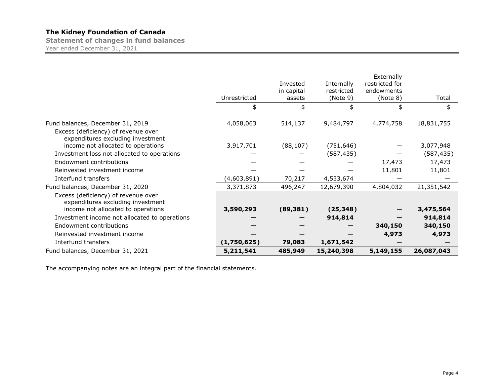**Statement of changes in fund balances**  Year ended December 31, 2021

|                                                                                                              | Unrestricted | Invested<br>in capital<br>assets | Internally<br>restricted<br>(Note 9) | Externally<br>restricted for<br>endowments<br>(Note 8) | Total      |
|--------------------------------------------------------------------------------------------------------------|--------------|----------------------------------|--------------------------------------|--------------------------------------------------------|------------|
|                                                                                                              | \$           | \$                               | \$                                   | \$                                                     | \$         |
| Fund balances, December 31, 2019<br>Excess (deficiency) of revenue over<br>expenditures excluding investment | 4,058,063    | 514,137                          | 9,484,797                            | 4,774,758                                              | 18,831,755 |
| income not allocated to operations                                                                           | 3,917,701    | (88, 107)                        | (751, 646)                           |                                                        | 3,077,948  |
| Investment loss not allocated to operations                                                                  |              |                                  | (587, 435)                           |                                                        | (587, 435) |
| Endowment contributions                                                                                      |              |                                  |                                      | 17,473                                                 | 17,473     |
| Reinvested investment income                                                                                 |              |                                  |                                      | 11,801                                                 | 11,801     |
| Interfund transfers                                                                                          | (4,603,891)  | 70,217                           | 4,533,674                            |                                                        |            |
| Fund balances, December 31, 2020                                                                             | 3,371,873    | 496,247                          | 12,679,390                           | 4,804,032                                              | 21,351,542 |
| Excess (deficiency) of revenue over<br>expenditures excluding investment                                     |              |                                  |                                      |                                                        |            |
| income not allocated to operations                                                                           | 3,590,293    | (89, 381)                        | (25, 348)                            |                                                        | 3,475,564  |
| Investment income not allocated to operations<br>Endowment contributions                                     |              |                                  | 914,814                              |                                                        | 914,814    |
|                                                                                                              |              |                                  |                                      | 340,150                                                | 340,150    |
| Reinvested investment income                                                                                 |              |                                  |                                      | 4,973                                                  | 4,973      |
| Interfund transfers                                                                                          | (1,750,625)  | 79,083                           | 1,671,542                            |                                                        |            |
| Fund balances, December 31, 2021                                                                             | 5,211,541    | 485,949                          | 15,240,398                           | 5,149,155                                              | 26,087,043 |

The accompanying notes are an integral part of the financial statements.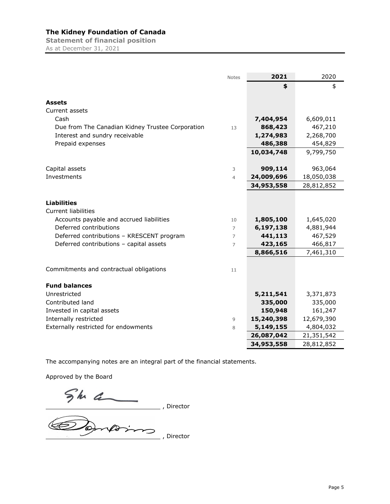**Statement of financial position**  As at December 31, 2021

|                                                  | <b>Notes</b>   | 2021       | 2020       |
|--------------------------------------------------|----------------|------------|------------|
|                                                  |                | \$         | \$         |
|                                                  |                |            |            |
| <b>Assets</b>                                    |                |            |            |
| Current assets                                   |                |            |            |
| Cash                                             |                | 7,404,954  | 6,609,011  |
| Due from The Canadian Kidney Trustee Corporation | 13             | 868,423    | 467,210    |
| Interest and sundry receivable                   |                | 1,274,983  | 2,268,700  |
| Prepaid expenses                                 |                | 486,388    | 454,829    |
|                                                  |                | 10,034,748 | 9,799,750  |
| Capital assets                                   | 3              | 909,114    | 963,064    |
| Investments                                      | $\overline{4}$ | 24,009,696 | 18,050,038 |
|                                                  |                | 34,953,558 | 28,812,852 |
|                                                  |                |            |            |
| <b>Liabilities</b>                               |                |            |            |
| <b>Current liabilities</b>                       |                |            |            |
| Accounts payable and accrued liabilities         | 10             | 1,805,100  | 1,645,020  |
| Deferred contributions                           | $\overline{7}$ | 6,197,138  | 4,881,944  |
| Deferred contributions - KRESCENT program        | 7              | 441,113    | 467,529    |
| Deferred contributions - capital assets          | 7              | 423,165    | 466,817    |
|                                                  |                | 8,866,516  | 7,461,310  |
|                                                  |                |            |            |
| Commitments and contractual obligations          | 11             |            |            |
|                                                  |                |            |            |
| <b>Fund balances</b>                             |                |            |            |
| Unrestricted                                     |                | 5,211,541  | 3,371,873  |
| Contributed land                                 |                | 335,000    | 335,000    |
| Invested in capital assets                       |                | 150,948    | 161,247    |
| Internally restricted                            | 9              | 15,240,398 | 12,679,390 |
| Externally restricted for endowments             | 8              | 5,149,155  | 4,804,032  |
|                                                  |                | 26,087,042 | 21,351,542 |
|                                                  |                | 34,953,558 | 28,812,852 |

The accompanying notes are an integral part of the financial statements.

Approved by the Board

, Director

, Director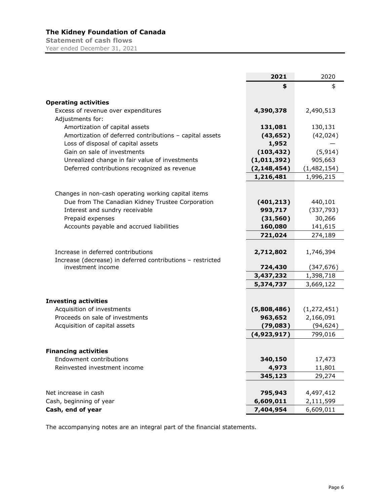**Statement of cash flows**  Year ended December 31, 2021

| \$<br>\$<br><b>Operating activities</b><br>4,390,378<br>Excess of revenue over expenditures<br>2,490,513<br>Adjustments for:<br>131,081<br>Amortization of capital assets<br>130,131<br>Amortization of deferred contributions - capital assets<br>(43, 652)<br>(42, 024)<br>Loss of disposal of capital assets<br>1,952<br>Gain on sale of investments<br>(103, 432)<br>(5, 914)<br>905,663<br>Unrealized change in fair value of investments<br>(1,011,392)<br>Deferred contributions recognized as revenue<br>(2, 148, 454)<br>(1,482,154)<br>1,216,481<br>1,996,215<br>Changes in non-cash operating working capital items<br>Due from The Canadian Kidney Trustee Corporation<br>(401, 213)<br>440,101<br>Interest and sundry receivable<br>993,717<br>(337, 793)<br>Prepaid expenses<br>30,266<br>(31, 560)<br>141,615<br>Accounts payable and accrued liabilities<br>160,080<br>274,189<br>721,024<br>Increase in deferred contributions<br>2,712,802<br>1,746,394<br>Increase (decrease) in deferred contributions - restricted<br>investment income<br>724,430<br>(347, 676)<br>3,437,232<br>1,398,718<br>5,374,737<br>3,669,122<br><b>Investing activities</b><br>Acquisition of investments<br>(5,808,486)<br>(1, 272, 451)<br>Proceeds on sale of investments<br>963,652<br>2,166,091<br>(94, 624)<br>Acquisition of capital assets<br>(79, 083)<br>(4,923,917)<br>799,016<br><b>Financing activities</b><br>17,473<br>Endowment contributions<br>340,150<br>Reinvested investment income<br>4,973<br>11,801<br>345,123<br>29,274<br>Net increase in cash<br>795,943<br>4,497,412<br>Cash, beginning of year<br>6,609,011<br>2,111,599 |                   | 2021      | 2020      |
|----------------------------------------------------------------------------------------------------------------------------------------------------------------------------------------------------------------------------------------------------------------------------------------------------------------------------------------------------------------------------------------------------------------------------------------------------------------------------------------------------------------------------------------------------------------------------------------------------------------------------------------------------------------------------------------------------------------------------------------------------------------------------------------------------------------------------------------------------------------------------------------------------------------------------------------------------------------------------------------------------------------------------------------------------------------------------------------------------------------------------------------------------------------------------------------------------------------------------------------------------------------------------------------------------------------------------------------------------------------------------------------------------------------------------------------------------------------------------------------------------------------------------------------------------------------------------------------------------------------------------------------------------|-------------------|-----------|-----------|
|                                                                                                                                                                                                                                                                                                                                                                                                                                                                                                                                                                                                                                                                                                                                                                                                                                                                                                                                                                                                                                                                                                                                                                                                                                                                                                                                                                                                                                                                                                                                                                                                                                                    |                   |           |           |
|                                                                                                                                                                                                                                                                                                                                                                                                                                                                                                                                                                                                                                                                                                                                                                                                                                                                                                                                                                                                                                                                                                                                                                                                                                                                                                                                                                                                                                                                                                                                                                                                                                                    |                   |           |           |
|                                                                                                                                                                                                                                                                                                                                                                                                                                                                                                                                                                                                                                                                                                                                                                                                                                                                                                                                                                                                                                                                                                                                                                                                                                                                                                                                                                                                                                                                                                                                                                                                                                                    |                   |           |           |
|                                                                                                                                                                                                                                                                                                                                                                                                                                                                                                                                                                                                                                                                                                                                                                                                                                                                                                                                                                                                                                                                                                                                                                                                                                                                                                                                                                                                                                                                                                                                                                                                                                                    |                   |           |           |
|                                                                                                                                                                                                                                                                                                                                                                                                                                                                                                                                                                                                                                                                                                                                                                                                                                                                                                                                                                                                                                                                                                                                                                                                                                                                                                                                                                                                                                                                                                                                                                                                                                                    |                   |           |           |
|                                                                                                                                                                                                                                                                                                                                                                                                                                                                                                                                                                                                                                                                                                                                                                                                                                                                                                                                                                                                                                                                                                                                                                                                                                                                                                                                                                                                                                                                                                                                                                                                                                                    |                   |           |           |
|                                                                                                                                                                                                                                                                                                                                                                                                                                                                                                                                                                                                                                                                                                                                                                                                                                                                                                                                                                                                                                                                                                                                                                                                                                                                                                                                                                                                                                                                                                                                                                                                                                                    |                   |           |           |
|                                                                                                                                                                                                                                                                                                                                                                                                                                                                                                                                                                                                                                                                                                                                                                                                                                                                                                                                                                                                                                                                                                                                                                                                                                                                                                                                                                                                                                                                                                                                                                                                                                                    |                   |           |           |
|                                                                                                                                                                                                                                                                                                                                                                                                                                                                                                                                                                                                                                                                                                                                                                                                                                                                                                                                                                                                                                                                                                                                                                                                                                                                                                                                                                                                                                                                                                                                                                                                                                                    |                   |           |           |
|                                                                                                                                                                                                                                                                                                                                                                                                                                                                                                                                                                                                                                                                                                                                                                                                                                                                                                                                                                                                                                                                                                                                                                                                                                                                                                                                                                                                                                                                                                                                                                                                                                                    |                   |           |           |
|                                                                                                                                                                                                                                                                                                                                                                                                                                                                                                                                                                                                                                                                                                                                                                                                                                                                                                                                                                                                                                                                                                                                                                                                                                                                                                                                                                                                                                                                                                                                                                                                                                                    |                   |           |           |
|                                                                                                                                                                                                                                                                                                                                                                                                                                                                                                                                                                                                                                                                                                                                                                                                                                                                                                                                                                                                                                                                                                                                                                                                                                                                                                                                                                                                                                                                                                                                                                                                                                                    |                   |           |           |
|                                                                                                                                                                                                                                                                                                                                                                                                                                                                                                                                                                                                                                                                                                                                                                                                                                                                                                                                                                                                                                                                                                                                                                                                                                                                                                                                                                                                                                                                                                                                                                                                                                                    |                   |           |           |
|                                                                                                                                                                                                                                                                                                                                                                                                                                                                                                                                                                                                                                                                                                                                                                                                                                                                                                                                                                                                                                                                                                                                                                                                                                                                                                                                                                                                                                                                                                                                                                                                                                                    |                   |           |           |
|                                                                                                                                                                                                                                                                                                                                                                                                                                                                                                                                                                                                                                                                                                                                                                                                                                                                                                                                                                                                                                                                                                                                                                                                                                                                                                                                                                                                                                                                                                                                                                                                                                                    |                   |           |           |
|                                                                                                                                                                                                                                                                                                                                                                                                                                                                                                                                                                                                                                                                                                                                                                                                                                                                                                                                                                                                                                                                                                                                                                                                                                                                                                                                                                                                                                                                                                                                                                                                                                                    |                   |           |           |
|                                                                                                                                                                                                                                                                                                                                                                                                                                                                                                                                                                                                                                                                                                                                                                                                                                                                                                                                                                                                                                                                                                                                                                                                                                                                                                                                                                                                                                                                                                                                                                                                                                                    |                   |           |           |
|                                                                                                                                                                                                                                                                                                                                                                                                                                                                                                                                                                                                                                                                                                                                                                                                                                                                                                                                                                                                                                                                                                                                                                                                                                                                                                                                                                                                                                                                                                                                                                                                                                                    |                   |           |           |
|                                                                                                                                                                                                                                                                                                                                                                                                                                                                                                                                                                                                                                                                                                                                                                                                                                                                                                                                                                                                                                                                                                                                                                                                                                                                                                                                                                                                                                                                                                                                                                                                                                                    |                   |           |           |
|                                                                                                                                                                                                                                                                                                                                                                                                                                                                                                                                                                                                                                                                                                                                                                                                                                                                                                                                                                                                                                                                                                                                                                                                                                                                                                                                                                                                                                                                                                                                                                                                                                                    |                   |           |           |
|                                                                                                                                                                                                                                                                                                                                                                                                                                                                                                                                                                                                                                                                                                                                                                                                                                                                                                                                                                                                                                                                                                                                                                                                                                                                                                                                                                                                                                                                                                                                                                                                                                                    |                   |           |           |
|                                                                                                                                                                                                                                                                                                                                                                                                                                                                                                                                                                                                                                                                                                                                                                                                                                                                                                                                                                                                                                                                                                                                                                                                                                                                                                                                                                                                                                                                                                                                                                                                                                                    |                   |           |           |
|                                                                                                                                                                                                                                                                                                                                                                                                                                                                                                                                                                                                                                                                                                                                                                                                                                                                                                                                                                                                                                                                                                                                                                                                                                                                                                                                                                                                                                                                                                                                                                                                                                                    |                   |           |           |
|                                                                                                                                                                                                                                                                                                                                                                                                                                                                                                                                                                                                                                                                                                                                                                                                                                                                                                                                                                                                                                                                                                                                                                                                                                                                                                                                                                                                                                                                                                                                                                                                                                                    |                   |           |           |
|                                                                                                                                                                                                                                                                                                                                                                                                                                                                                                                                                                                                                                                                                                                                                                                                                                                                                                                                                                                                                                                                                                                                                                                                                                                                                                                                                                                                                                                                                                                                                                                                                                                    |                   |           |           |
|                                                                                                                                                                                                                                                                                                                                                                                                                                                                                                                                                                                                                                                                                                                                                                                                                                                                                                                                                                                                                                                                                                                                                                                                                                                                                                                                                                                                                                                                                                                                                                                                                                                    |                   |           |           |
|                                                                                                                                                                                                                                                                                                                                                                                                                                                                                                                                                                                                                                                                                                                                                                                                                                                                                                                                                                                                                                                                                                                                                                                                                                                                                                                                                                                                                                                                                                                                                                                                                                                    |                   |           |           |
|                                                                                                                                                                                                                                                                                                                                                                                                                                                                                                                                                                                                                                                                                                                                                                                                                                                                                                                                                                                                                                                                                                                                                                                                                                                                                                                                                                                                                                                                                                                                                                                                                                                    |                   |           |           |
|                                                                                                                                                                                                                                                                                                                                                                                                                                                                                                                                                                                                                                                                                                                                                                                                                                                                                                                                                                                                                                                                                                                                                                                                                                                                                                                                                                                                                                                                                                                                                                                                                                                    |                   |           |           |
|                                                                                                                                                                                                                                                                                                                                                                                                                                                                                                                                                                                                                                                                                                                                                                                                                                                                                                                                                                                                                                                                                                                                                                                                                                                                                                                                                                                                                                                                                                                                                                                                                                                    |                   |           |           |
|                                                                                                                                                                                                                                                                                                                                                                                                                                                                                                                                                                                                                                                                                                                                                                                                                                                                                                                                                                                                                                                                                                                                                                                                                                                                                                                                                                                                                                                                                                                                                                                                                                                    |                   |           |           |
|                                                                                                                                                                                                                                                                                                                                                                                                                                                                                                                                                                                                                                                                                                                                                                                                                                                                                                                                                                                                                                                                                                                                                                                                                                                                                                                                                                                                                                                                                                                                                                                                                                                    |                   |           |           |
|                                                                                                                                                                                                                                                                                                                                                                                                                                                                                                                                                                                                                                                                                                                                                                                                                                                                                                                                                                                                                                                                                                                                                                                                                                                                                                                                                                                                                                                                                                                                                                                                                                                    |                   |           |           |
|                                                                                                                                                                                                                                                                                                                                                                                                                                                                                                                                                                                                                                                                                                                                                                                                                                                                                                                                                                                                                                                                                                                                                                                                                                                                                                                                                                                                                                                                                                                                                                                                                                                    |                   |           |           |
|                                                                                                                                                                                                                                                                                                                                                                                                                                                                                                                                                                                                                                                                                                                                                                                                                                                                                                                                                                                                                                                                                                                                                                                                                                                                                                                                                                                                                                                                                                                                                                                                                                                    |                   |           |           |
|                                                                                                                                                                                                                                                                                                                                                                                                                                                                                                                                                                                                                                                                                                                                                                                                                                                                                                                                                                                                                                                                                                                                                                                                                                                                                                                                                                                                                                                                                                                                                                                                                                                    |                   |           |           |
|                                                                                                                                                                                                                                                                                                                                                                                                                                                                                                                                                                                                                                                                                                                                                                                                                                                                                                                                                                                                                                                                                                                                                                                                                                                                                                                                                                                                                                                                                                                                                                                                                                                    |                   |           |           |
|                                                                                                                                                                                                                                                                                                                                                                                                                                                                                                                                                                                                                                                                                                                                                                                                                                                                                                                                                                                                                                                                                                                                                                                                                                                                                                                                                                                                                                                                                                                                                                                                                                                    |                   |           |           |
|                                                                                                                                                                                                                                                                                                                                                                                                                                                                                                                                                                                                                                                                                                                                                                                                                                                                                                                                                                                                                                                                                                                                                                                                                                                                                                                                                                                                                                                                                                                                                                                                                                                    | Cash, end of year | 7,404,954 | 6,609,011 |

The accompanying notes are an integral part of the financial statements.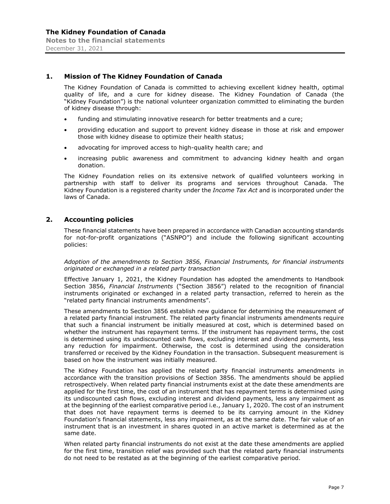# **1. Mission of The Kidney Foundation of Canada**

The Kidney Foundation of Canada is committed to achieving excellent kidney health, optimal quality of life, and a cure for kidney disease. The Kidney Foundation of Canada (the "Kidney Foundation") is the national volunteer organization committed to eliminating the burden of kidney disease through:

- funding and stimulating innovative research for better treatments and a cure;
- providing education and support to prevent kidney disease in those at risk and empower those with kidney disease to optimize their health status;
- advocating for improved access to high-quality health care; and
- increasing public awareness and commitment to advancing kidney health and organ donation.

The Kidney Foundation relies on its extensive network of qualified volunteers working in partnership with staff to deliver its programs and services throughout Canada. The Kidney Foundation is a registered charity under the *Income Tax Act* and is incorporated under the laws of Canada.

#### **2. Accounting policies**

These financial statements have been prepared in accordance with Canadian accounting standards for not-for-profit organizations ("ASNPO") and include the following significant accounting policies:

*Adoption of the amendments to Section 3856, Financial Instruments, for financial instruments originated or exchanged in a related party transaction* 

Effective January 1, 2021, the Kidney Foundation has adopted the amendments to Handbook Section 3856, *Financial Instruments* ("Section 3856") related to the recognition of financial instruments originated or exchanged in a related party transaction, referred to herein as the "related party financial instruments amendments".

These amendments to Section 3856 establish new guidance for determining the measurement of a related party financial instrument. The related party financial instruments amendments require that such a financial instrument be initially measured at cost, which is determined based on whether the instrument has repayment terms. If the instrument has repayment terms, the cost is determined using its undiscounted cash flows, excluding interest and dividend payments, less any reduction for impairment. Otherwise, the cost is determined using the consideration transferred or received by the Kidney Foundation in the transaction. Subsequent measurement is based on how the instrument was initially measured.

The Kidney Foundation has applied the related party financial instruments amendments in accordance with the transition provisions of Section 3856. The amendments should be applied retrospectively. When related party financial instruments exist at the date these amendments are applied for the first time, the cost of an instrument that has repayment terms is determined using its undiscounted cash flows, excluding interest and dividend payments, less any impairment as at the beginning of the earliest comparative period i.e., January 1, 2020. The cost of an instrument that does not have repayment terms is deemed to be its carrying amount in the Kidney Foundation's financial statements, less any impairment, as at the same date. The fair value of an instrument that is an investment in shares quoted in an active market is determined as at the same date.

When related party financial instruments do not exist at the date these amendments are applied for the first time, transition relief was provided such that the related party financial instruments do not need to be restated as at the beginning of the earliest comparative period.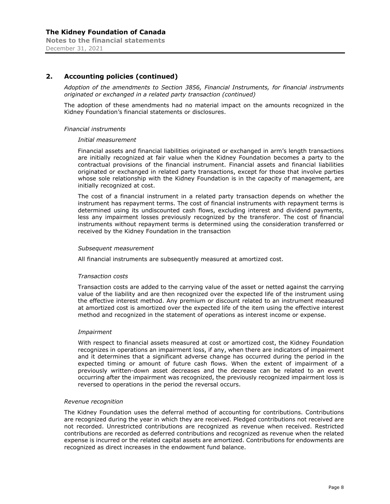# **2. Accounting policies (continued)**

*Adoption of the amendments to Section 3856, Financial Instruments, for financial instruments originated or exchanged in a related party transaction (continued)* 

The adoption of these amendments had no material impact on the amounts recognized in the Kidney Foundation's financial statements or disclosures.

#### *Financial instruments*

#### *Initial measurement*

Financial assets and financial liabilities originated or exchanged in arm's length transactions are initially recognized at fair value when the Kidney Foundation becomes a party to the contractual provisions of the financial instrument. Financial assets and financial liabilities originated or exchanged in related party transactions, except for those that involve parties whose sole relationship with the Kidney Foundation is in the capacity of management, are initially recognized at cost.

The cost of a financial instrument in a related party transaction depends on whether the instrument has repayment terms. The cost of financial instruments with repayment terms is determined using its undiscounted cash flows, excluding interest and dividend payments, less any impairment losses previously recognized by the transferor. The cost of financial instruments without repayment terms is determined using the consideration transferred or received by the Kidney Foundation in the transaction

#### *Subsequent measurement*

All financial instruments are subsequently measured at amortized cost.

#### *Transaction costs*

Transaction costs are added to the carrying value of the asset or netted against the carrying value of the liability and are then recognized over the expected life of the instrument using the effective interest method. Any premium or discount related to an instrument measured at amortized cost is amortized over the expected life of the item using the effective interest method and recognized in the statement of operations as interest income or expense.

#### *Impairment*

With respect to financial assets measured at cost or amortized cost, the Kidney Foundation recognizes in operations an impairment loss, if any, when there are indicators of impairment and it determines that a significant adverse change has occurred during the period in the expected timing or amount of future cash flows. When the extent of impairment of a previously written-down asset decreases and the decrease can be related to an event occurring after the impairment was recognized, the previously recognized impairment loss is reversed to operations in the period the reversal occurs.

#### *Revenue recognition*

The Kidney Foundation uses the deferral method of accounting for contributions. Contributions are recognized during the year in which they are received. Pledged contributions not received are not recorded. Unrestricted contributions are recognized as revenue when received. Restricted contributions are recorded as deferred contributions and recognized as revenue when the related expense is incurred or the related capital assets are amortized. Contributions for endowments are recognized as direct increases in the endowment fund balance.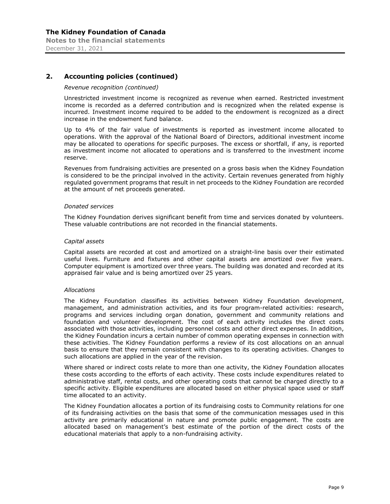# **2. Accounting policies (continued)**

#### *Revenue recognition (continued)*

Unrestricted investment income is recognized as revenue when earned. Restricted investment income is recorded as a deferred contribution and is recognized when the related expense is incurred. Investment income required to be added to the endowment is recognized as a direct increase in the endowment fund balance.

Up to 4% of the fair value of investments is reported as investment income allocated to operations. With the approval of the National Board of Directors, additional investment income may be allocated to operations for specific purposes. The excess or shortfall, if any, is reported as investment income not allocated to operations and is transferred to the investment income reserve.

Revenues from fundraising activities are presented on a gross basis when the Kidney Foundation is considered to be the principal involved in the activity. Certain revenues generated from highly regulated government programs that result in net proceeds to the Kidney Foundation are recorded at the amount of net proceeds generated.

#### *Donated services*

The Kidney Foundation derives significant benefit from time and services donated by volunteers. These valuable contributions are not recorded in the financial statements.

#### *Capital assets*

Capital assets are recorded at cost and amortized on a straight-line basis over their estimated useful lives. Furniture and fixtures and other capital assets are amortized over five years. Computer equipment is amortized over three years. The building was donated and recorded at its appraised fair value and is being amortized over 25 years.

#### *Allocations*

The Kidney Foundation classifies its activities between Kidney Foundation development, management, and administration activities, and its four program-related activities: research, programs and services including organ donation, government and community relations and foundation and volunteer development. The cost of each activity includes the direct costs associated with those activities, including personnel costs and other direct expenses. In addition, the Kidney Foundation incurs a certain number of common operating expenses in connection with these activities. The Kidney Foundation performs a review of its cost allocations on an annual basis to ensure that they remain consistent with changes to its operating activities. Changes to such allocations are applied in the year of the revision.

Where shared or indirect costs relate to more than one activity, the Kidney Foundation allocates these costs according to the efforts of each activity. These costs include expenditures related to administrative staff, rental costs, and other operating costs that cannot be charged directly to a specific activity. Eligible expenditures are allocated based on either physical space used or staff time allocated to an activity.

The Kidney Foundation allocates a portion of its fundraising costs to Community relations for one of its fundraising activities on the basis that some of the communication messages used in this activity are primarily educational in nature and promote public engagement. The costs are allocated based on management's best estimate of the portion of the direct costs of the educational materials that apply to a non-fundraising activity.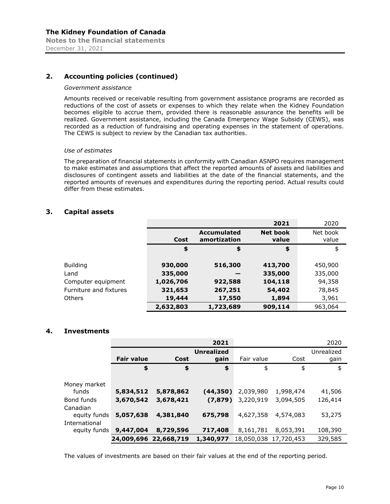# **2. Accounting policies (continued)**

#### *Government assistance*

Amounts received or receivable resulting from government assistance programs are recorded as reductions of the cost of assets or expenses to which they relate when the Kidney Foundation becomes eligible to accrue them, provided there is reasonable assurance the benefits will be realized. Government assistance, including the Canada Emergency Wage Subsidy (CEWS), was recorded as a reduction of fundraising and operating expenses in the statement of operations. The CEWS is subject to review by the Canadian tax authorities.

#### *Use of estimates*

The preparation of financial statements in conformity with Canadian ASNPO requires management to make estimates and assumptions that affect the reported amounts of assets and liabilities and disclosures of contingent assets and liabilities at the date of the financial statements, and the reported amounts of revenues and expenditures during the reporting period. Actual results could differ from these estimates.

# **3. Capital assets**

|                        |           |                                    | 2021                     | 2020              |
|------------------------|-----------|------------------------------------|--------------------------|-------------------|
|                        | Cost      | <b>Accumulated</b><br>amortization | <b>Net book</b><br>value | Net book<br>value |
|                        | \$        | \$                                 | \$                       | \$                |
| <b>Building</b>        | 930,000   | 516,300                            | 413,700                  | 450,900           |
| Land                   | 335,000   |                                    | 335,000                  | 335,000           |
| Computer equipment     | 1,026,706 | 922,588                            | 104,118                  | 94,358            |
| Furniture and fixtures | 321,653   | 267,251                            | 54,402                   | 78,845            |
| <b>Others</b>          | 19,444    | 17,550                             | 1,894                    | 3,961             |
|                        | 2,632,803 | 1,723,689                          | 909,114                  | 963,064           |

# **4. Investments**

|               |                        |           | 2021              |                       |           | 2020       |
|---------------|------------------------|-----------|-------------------|-----------------------|-----------|------------|
|               |                        |           | <b>Unrealized</b> |                       |           | Unrealized |
|               | <b>Fair value</b>      | Cost      | gain              | Fair value            | Cost      | gain       |
|               | \$                     | \$        | \$                | \$                    | \$        | \$         |
|               |                        |           |                   |                       |           |            |
| Money market  |                        |           |                   |                       |           |            |
| funds         | 5,834,512              | 5,878,862 | (44,350)          | 2,039,980             | 1,998,474 | 41,506     |
| Bond funds    | 3,670,542              | 3,678,421 | (7, 879)          | 3,220,919             | 3,094,505 | 126,414    |
| Canadian      |                        |           |                   |                       |           |            |
| equity funds  | 5,057,638              | 4,381,840 | 675,798           | 4,627,358             | 4,574,083 | 53,275     |
| International |                        |           |                   |                       |           |            |
|               | equity funds 9,447,004 | 8,729,596 | 717,408           | 8,161,781             | 8,053,391 | 108,390    |
|               | 24,009,696 22,668,719  |           | 1,340,977         | 18,050,038 17,720,453 |           | 329,585    |

The values of investments are based on their fair values at the end of the reporting period.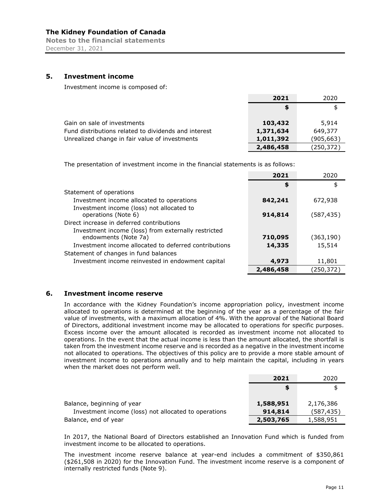**Notes to the financial statements**  December 31, 2021

# **5. Investment income**

Investment income is composed of:

|                                                      | 2021      | 2020       |
|------------------------------------------------------|-----------|------------|
|                                                      |           |            |
|                                                      |           |            |
| Gain on sale of investments                          | 103,432   | 5,914      |
| Fund distributions related to dividends and interest | 1,371,634 | 649,377    |
| Unrealized change in fair value of investments       | 1,011,392 | (905,663)  |
|                                                      | 2,486,458 | (250, 372) |

The presentation of investment income in the financial statements is as follows:

|                                                                             | 2021      | 2020       |
|-----------------------------------------------------------------------------|-----------|------------|
|                                                                             | \$        | \$         |
| Statement of operations                                                     |           |            |
| Investment income allocated to operations                                   | 842,241   | 672,938    |
| Investment income (loss) not allocated to<br>operations (Note 6)            | 914,814   | (587, 435) |
| Direct increase in deferred contributions                                   |           |            |
| Investment income (loss) from externally restricted<br>endowments (Note 7a) | 710,095   | (363,190)  |
| Investment income allocated to deferred contributions                       | 14,335    | 15,514     |
| Statement of changes in fund balances                                       |           |            |
| Investment income reinvested in endowment capital                           | 4,973     | 11,801     |
|                                                                             | 2,486,458 | (250,372)  |

#### **6. Investment income reserve**

In accordance with the Kidney Foundation's income appropriation policy, investment income allocated to operations is determined at the beginning of the year as a percentage of the fair value of investments, with a maximum allocation of 4%. With the approval of the National Board of Directors, additional investment income may be allocated to operations for specific purposes. Excess income over the amount allocated is recorded as investment income not allocated to operations. In the event that the actual income is less than the amount allocated, the shortfall is taken from the investment income reserve and is recorded as a negative in the investment income not allocated to operations. The objectives of this policy are to provide a more stable amount of investment income to operations annually and to help maintain the capital, including in years when the market does not perform well.

|                                                      | 2021      | 2020       |
|------------------------------------------------------|-----------|------------|
|                                                      | \$        |            |
| Balance, beginning of year                           | 1,588,951 | 2,176,386  |
| Investment income (loss) not allocated to operations | 914,814   | (587, 435) |
| Balance, end of year                                 | 2,503,765 | 1,588,951  |

In 2017, the National Board of Directors established an Innovation Fund which is funded from investment income to be allocated to operations.

The investment income reserve balance at year-end includes a commitment of \$350,861 (\$261,508 in 2020) for the Innovation Fund. The investment income reserve is a component of internally restricted funds (Note 9).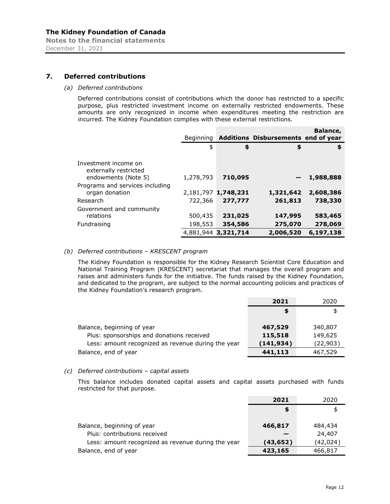**Notes to the financial statements**  December 31, 2021

# **7. Deferred contributions**

#### *(a) Deferred contributions*

Deferred contributions consist of contributions which the donor has restricted to a specific purpose, plus restricted investment income on externally restricted endowments. These amounts are only recognized in income when expenditures meeting the restriction are incurred. The Kidney Foundation complies with these external restrictions.

|                                                                      | <b>Beginning</b>   |                                | Additions Disbursements end of year | Balance,             |
|----------------------------------------------------------------------|--------------------|--------------------------------|-------------------------------------|----------------------|
|                                                                      | \$                 | \$                             | \$                                  | \$                   |
| Investment income on<br>externally restricted<br>endowments (Note 5) | 1,278,793          | 710,095                        |                                     | 1,988,888            |
| Programs and services including<br>organ donation                    |                    | 2,181,797 1,748,231            | 1,321,642                           | 2,608,386            |
| Research<br>Government and community<br>relations                    | 722,366<br>500,435 | 277,777<br>231,025             | 261,813<br>147,995                  | 738,330<br>583,465   |
| Fundraising                                                          | 198,553            | 354,586<br>4,881,944 3,321,714 | 275,070<br>2,006,520                | 278,069<br>6,197,138 |

#### *(b) Deferred contributions – KRESCENT program*

The Kidney Foundation is responsible for the Kidney Research Scientist Core Education and National Training Program (KRESCENT) secretariat that manages the overall program and raises and administers funds for the initiative. The funds raised by the Kidney Foundation, and dedicated to the program, are subject to the normal accounting policies and practices of the Kidney Foundation's research program.

|                                                    | 2021       | 2020      |
|----------------------------------------------------|------------|-----------|
|                                                    | S          | \$        |
|                                                    |            |           |
| Balance, beginning of year                         | 467,529    | 340,807   |
| Plus: sponsorships and donations received          | 115,518    | 149,625   |
| Less: amount recognized as revenue during the year | (141, 934) | (22, 903) |
| Balance, end of year                               | 441,113    | 467,529   |

#### *(c) Deferred contributions – capital assets*

This balance includes donated capital assets and capital assets purchased with funds restricted for that purpose.

|                                                    | 2021     | 2020     |
|----------------------------------------------------|----------|----------|
|                                                    | \$       |          |
|                                                    |          |          |
| Balance, beginning of year                         | 466,817  | 484,434  |
| Plus: contributions received                       |          | 24,407   |
| Less: amount recognized as revenue during the year | (43,652) | (42,024) |
| Balance, end of year                               | 423,165  | 466,817  |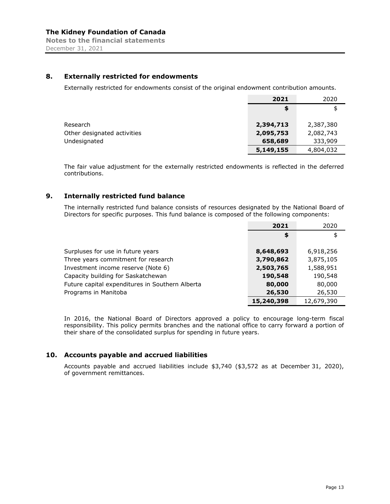# **8. Externally restricted for endowments**

Externally restricted for endowments consist of the original endowment contribution amounts.

|                             | 2021      | 2020      |
|-----------------------------|-----------|-----------|
|                             | S.        | \$        |
|                             |           |           |
| Research                    | 2,394,713 | 2,387,380 |
| Other designated activities | 2,095,753 | 2,082,743 |
| Undesignated                | 658,689   | 333,909   |
|                             | 5,149,155 | 4,804,032 |

The fair value adjustment for the externally restricted endowments is reflected in the deferred contributions.

# **9. Internally restricted fund balance**

The internally restricted fund balance consists of resources designated by the National Board of Directors for specific purposes. This fund balance is composed of the following components:

|                                                 | 2021       | 2020       |
|-------------------------------------------------|------------|------------|
|                                                 | \$         | \$         |
|                                                 |            |            |
| Surpluses for use in future years               | 8,648,693  | 6,918,256  |
| Three years commitment for research             | 3,790,862  | 3,875,105  |
| Investment income reserve (Note 6)              | 2,503,765  | 1,588,951  |
| Capacity building for Saskatchewan              | 190,548    | 190,548    |
| Future capital expenditures in Southern Alberta | 80,000     | 80,000     |
| Programs in Manitoba                            | 26,530     | 26,530     |
|                                                 | 15,240,398 | 12,679,390 |

In 2016, the National Board of Directors approved a policy to encourage long-term fiscal responsibility. This policy permits branches and the national office to carry forward a portion of their share of the consolidated surplus for spending in future years.

# **10. Accounts payable and accrued liabilities**

Accounts payable and accrued liabilities include \$3,740 (\$3,572 as at December 31, 2020), of government remittances.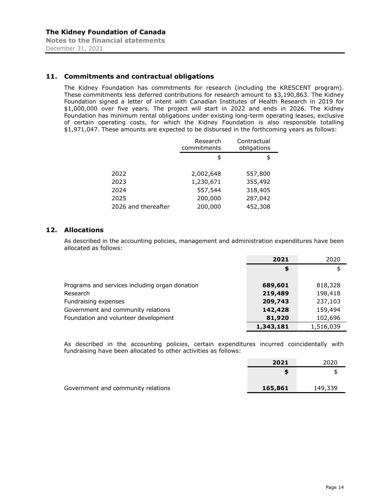December 31, 2021

# **11. Commitments and contractual obligations**

The Kidney Foundation has commitments for research (including the KRESCENT program). These commitments less deferred contributions for research amount to \$3,190,863. The Kidney Foundation signed a letter of intent with Canadian Institutes of Health Research in 2019 for \$1,000,000 over five years. The project will start in 2022 and ends in 2026. The Kidney Foundation has minimum rental obligations under existing long-term operating leases, exclusive of certain operating costs, for which the Kidney Foundation is also responsible totalling \$1,971,047. These amounts are expected to be disbursed in the forthcoming years as follows:

|                     | Research<br>commitments | Contractual<br>obligations |
|---------------------|-------------------------|----------------------------|
|                     | \$                      | \$                         |
| 2022                | 2,002,648               | 557,800                    |
| 2023                | 1,230,671               | 355,492                    |
| 2024                | 557,544                 | 318,405                    |
| 2025                | 200,000                 | 287,042                    |
| 2026 and thereafter | 200,000                 | 452,308                    |

# **12. Allocations**

As described in the accounting policies, management and administration expenditures have been allocated as follows:

|                                                | 2021      | 2020      |
|------------------------------------------------|-----------|-----------|
|                                                | \$        | \$        |
|                                                |           |           |
| Programs and services including organ donation | 689,601   | 818,328   |
| Research                                       | 219,489   | 198,418   |
| Fundraising expenses                           | 209,743   | 237,103   |
| Government and community relations             | 142,428   | 159,494   |
| Foundation and volunteer development           | 81,920    | 102,696   |
|                                                | 1,343,181 | 1,516,039 |

As described in the accounting policies, certain expenditures incurred coincidentally with fundraising have been allocated to other activities as follows:

|                                    | 2021    | 2020    |
|------------------------------------|---------|---------|
|                                    |         |         |
| Government and community relations | 165,861 | 149,339 |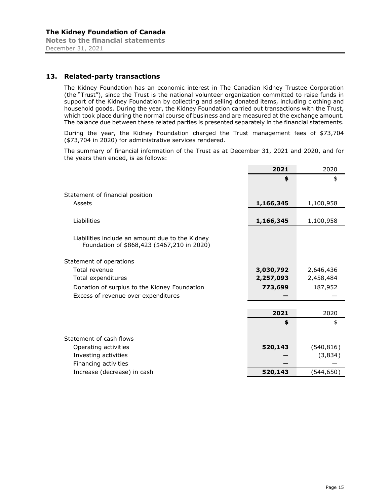# **13. Related-party transactions**

The Kidney Foundation has an economic interest in The Canadian Kidney Trustee Corporation (the "Trust"), since the Trust is the national volunteer organization committed to raise funds in support of the Kidney Foundation by collecting and selling donated items, including clothing and household goods. During the year, the Kidney Foundation carried out transactions with the Trust, which took place during the normal course of business and are measured at the exchange amount. The balance due between these related parties is presented separately in the financial statements.

During the year, the Kidney Foundation charged the Trust management fees of \$73,704 (\$73,704 in 2020) for administrative services rendered.

The summary of financial information of the Trust as at December 31, 2021 and 2020, and for the years then ended, is as follows:

|                                                                                                | 2021      | 2020       |
|------------------------------------------------------------------------------------------------|-----------|------------|
|                                                                                                | \$        | \$         |
| Statement of financial position                                                                |           |            |
| Assets                                                                                         | 1,166,345 | 1,100,958  |
|                                                                                                |           |            |
| Liabilities                                                                                    | 1,166,345 | 1,100,958  |
| Liabilities include an amount due to the Kidney<br>Foundation of \$868,423 (\$467,210 in 2020) |           |            |
| Statement of operations                                                                        |           |            |
| Total revenue                                                                                  | 3,030,792 | 2,646,436  |
| Total expenditures                                                                             | 2,257,093 | 2,458,484  |
| Donation of surplus to the Kidney Foundation                                                   | 773,699   | 187,952    |
| Excess of revenue over expenditures                                                            |           |            |
|                                                                                                |           |            |
|                                                                                                | 2021      | 2020       |
|                                                                                                | \$        | \$         |
| Statement of cash flows                                                                        |           |            |
| Operating activities                                                                           | 520,143   | (540, 816) |
| Investing activities                                                                           |           | (3,834)    |
| Financing activities                                                                           |           |            |
| Increase (decrease) in cash                                                                    | 520,143   | (544,650)  |